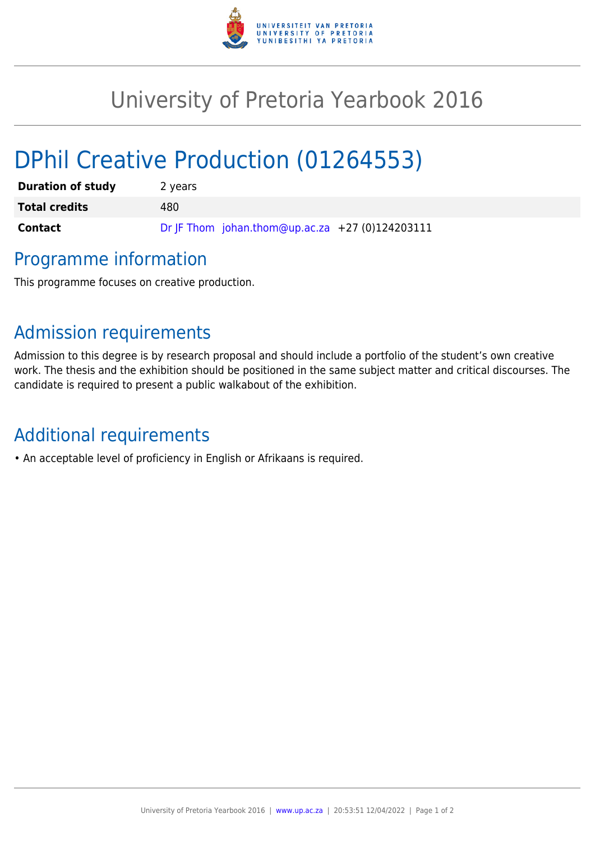

## University of Pretoria Yearbook 2016

# DPhil Creative Production (01264553)

| <b>Duration of study</b> | 2 years                                         |
|--------------------------|-------------------------------------------------|
| <b>Total credits</b>     | 480                                             |
| <b>Contact</b>           | Dr JF Thom johan.thom@up.ac.za +27 (0)124203111 |

### Programme information

This programme focuses on creative production.

### Admission requirements

Admission to this degree is by research proposal and should include a portfolio of the student's own creative work. The thesis and the exhibition should be positioned in the same subject matter and critical discourses. The candidate is required to present a public walkabout of the exhibition.

### Additional requirements

• An acceptable level of proficiency in English or Afrikaans is required.